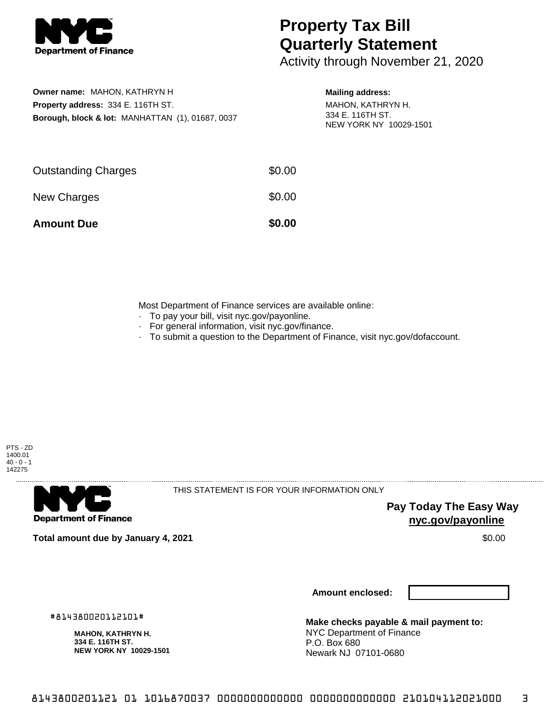

# **Property Tax Bill Quarterly Statement**

Activity through November 21, 2020

## **Owner name:** MAHON, KATHRYN H **Property address:** 334 E. 116TH ST. **Borough, block & lot:** MANHATTAN (1), 01687, 0037

#### **Mailing address:**

MAHON, KATHRYN H. 334 E. 116TH ST. NEW YORK NY 10029-1501

| <b>Amount Due</b>          | \$0.00 |
|----------------------------|--------|
| New Charges                | \$0.00 |
| <b>Outstanding Charges</b> | \$0.00 |

Most Department of Finance services are available online:

- · To pay your bill, visit nyc.gov/payonline.
- For general information, visit nyc.gov/finance.
- · To submit a question to the Department of Finance, visit nyc.gov/dofaccount.



**Department of Finance** 

THIS STATEMENT IS FOR YOUR INFORMATION ONLY

**Pay Today The Easy Way nyc.gov/payonline**

**Total amount due by January 4, 2021** \$0.00

**Amount enclosed:**

#814380020112101#

**MAHON, KATHRYN H. 334 E. 116TH ST. NEW YORK NY 10029-1501**

**Make checks payable & mail payment to:** NYC Department of Finance P.O. Box 680 Newark NJ 07101-0680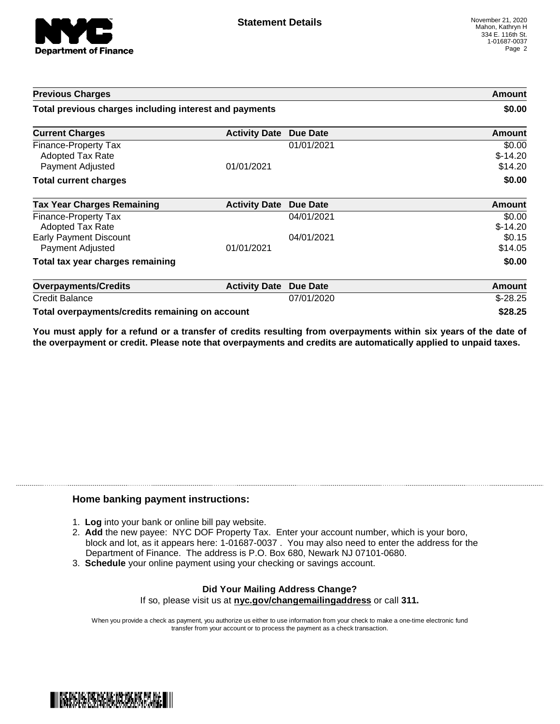

| <b>Previous Charges</b>                                             |                      |                 | Amount                         |
|---------------------------------------------------------------------|----------------------|-----------------|--------------------------------|
| Total previous charges including interest and payments              |                      |                 | \$0.00                         |
| <b>Current Charges</b>                                              | <b>Activity Date</b> | <b>Due Date</b> | Amount                         |
| Finance-Property Tax<br><b>Adopted Tax Rate</b><br>Payment Adjusted | 01/01/2021           | 01/01/2021      | \$0.00<br>$$-14.20$<br>\$14.20 |
| <b>Total current charges</b>                                        |                      |                 | \$0.00                         |
| <b>Tax Year Charges Remaining</b>                                   | <b>Activity Date</b> | <b>Due Date</b> | Amount                         |
| <b>Finance-Property Tax</b><br>Adopted Tax Rate                     |                      | 04/01/2021      | \$0.00<br>$$-14.20$            |
| <b>Early Payment Discount</b><br>Payment Adjusted                   | 01/01/2021           | 04/01/2021      | \$0.15<br>\$14.05              |
| Total tax year charges remaining                                    |                      |                 | \$0.00                         |
| <b>Overpayments/Credits</b>                                         | <b>Activity Date</b> | <b>Due Date</b> | <b>Amount</b>                  |
| <b>Credit Balance</b>                                               |                      | 07/01/2020      | $$-28.25$                      |
| Total overpayments/credits remaining on account                     |                      |                 | \$28.25                        |

You must apply for a refund or a transfer of credits resulting from overpayments within six years of the date of **the overpayment or credit. Please note that overpayments and credits are automatically applied to unpaid taxes.**

### **Home banking payment instructions:**

- 1. **Log** into your bank or online bill pay website.
- 2. **Add** the new payee: NYC DOF Property Tax. Enter your account number, which is your boro, block and lot, as it appears here: 1-01687-0037 . You may also need to enter the address for the Department of Finance. The address is P.O. Box 680, Newark NJ 07101-0680.
- 3. **Schedule** your online payment using your checking or savings account.

#### **Did Your Mailing Address Change?** If so, please visit us at **nyc.gov/changemailingaddress** or call **311.**

When you provide a check as payment, you authorize us either to use information from your check to make a one-time electronic fund transfer from your account or to process the payment as a check transaction.